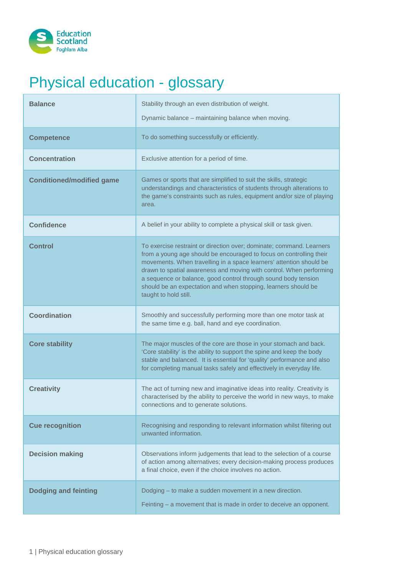

## Physical education - glossary

| <b>Balance</b>                   | Stability through an even distribution of weight.<br>Dynamic balance - maintaining balance when moving.                                                                                                                                                                                                                                                                                                                                                |
|----------------------------------|--------------------------------------------------------------------------------------------------------------------------------------------------------------------------------------------------------------------------------------------------------------------------------------------------------------------------------------------------------------------------------------------------------------------------------------------------------|
| <b>Competence</b>                | To do something successfully or efficiently.                                                                                                                                                                                                                                                                                                                                                                                                           |
| <b>Concentration</b>             | Exclusive attention for a period of time.                                                                                                                                                                                                                                                                                                                                                                                                              |
| <b>Conditioned/modified game</b> | Games or sports that are simplified to suit the skills, strategic<br>understandings and characteristics of students through alterations to<br>the game's constraints such as rules, equipment and/or size of playing<br>area.                                                                                                                                                                                                                          |
| <b>Confidence</b>                | A belief in your ability to complete a physical skill or task given.                                                                                                                                                                                                                                                                                                                                                                                   |
| <b>Control</b>                   | To exercise restraint or direction over; dominate; command. Learners<br>from a young age should be encouraged to focus on controlling their<br>movements. When travelling in a space learners' attention should be<br>drawn to spatial awareness and moving with control. When performing<br>a sequence or balance, good control through sound body tension<br>should be an expectation and when stopping, learners should be<br>taught to hold still. |
| <b>Coordination</b>              | Smoothly and successfully performing more than one motor task at<br>the same time e.g. ball, hand and eye coordination.                                                                                                                                                                                                                                                                                                                                |
| <b>Core stability</b>            | The major muscles of the core are those in your stomach and back.<br>'Core stability' is the ability to support the spine and keep the body<br>stable and balanced. It is essential for 'quality' performance and also<br>for completing manual tasks safely and effectively in everyday life.                                                                                                                                                         |
| <b>Creativity</b>                | The act of turning new and imaginative ideas into reality. Creativity is<br>characterised by the ability to perceive the world in new ways, to make<br>connections and to generate solutions.                                                                                                                                                                                                                                                          |
| <b>Cue recognition</b>           | Recognising and responding to relevant information whilst filtering out<br>unwanted information.                                                                                                                                                                                                                                                                                                                                                       |
| <b>Decision making</b>           | Observations inform judgements that lead to the selection of a course<br>of action among alternatives; every decision-making process produces<br>a final choice, even if the choice involves no action.                                                                                                                                                                                                                                                |
| <b>Dodging and feinting</b>      | Dodging - to make a sudden movement in a new direction.<br>Feinting – a movement that is made in order to deceive an opponent.                                                                                                                                                                                                                                                                                                                         |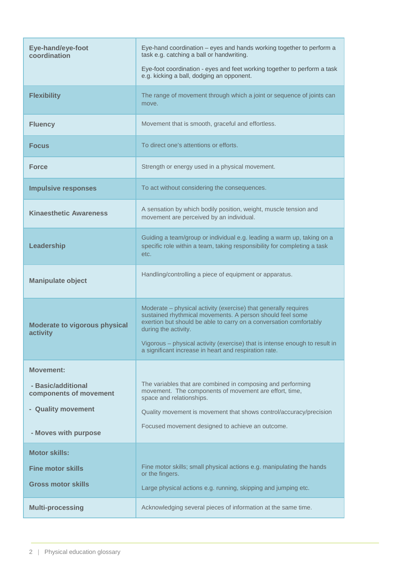| Eye-hand/eye-foot<br>coordination                | Eye-hand coordination - eyes and hands working together to perform a<br>task e.g. catching a ball or handwriting.<br>Eye-foot coordination - eyes and feet working together to perform a task<br>e.g. kicking a ball, dodging an opponent.                                                                                                                         |
|--------------------------------------------------|--------------------------------------------------------------------------------------------------------------------------------------------------------------------------------------------------------------------------------------------------------------------------------------------------------------------------------------------------------------------|
| <b>Flexibility</b>                               | The range of movement through which a joint or sequence of joints can<br>move.                                                                                                                                                                                                                                                                                     |
| <b>Fluency</b>                                   | Movement that is smooth, graceful and effortless.                                                                                                                                                                                                                                                                                                                  |
| <b>Focus</b>                                     | To direct one's attentions or efforts.                                                                                                                                                                                                                                                                                                                             |
| <b>Force</b>                                     | Strength or energy used in a physical movement.                                                                                                                                                                                                                                                                                                                    |
| <b>Impulsive responses</b>                       | To act without considering the consequences.                                                                                                                                                                                                                                                                                                                       |
| <b>Kinaesthetic Awareness</b>                    | A sensation by which bodily position, weight, muscle tension and<br>movement are perceived by an individual.                                                                                                                                                                                                                                                       |
| Leadership                                       | Guiding a team/group or individual e.g. leading a warm up, taking on a<br>specific role within a team, taking responsibility for completing a task<br>etc.                                                                                                                                                                                                         |
| <b>Manipulate object</b>                         | Handling/controlling a piece of equipment or apparatus.                                                                                                                                                                                                                                                                                                            |
| <b>Moderate to vigorous physical</b><br>activity | Moderate – physical activity (exercise) that generally requires<br>sustained rhythmical movements. A person should feel some<br>exertion but should be able to carry on a conversation comfortably<br>during the activity.<br>Vigorous - physical activity (exercise) that is intense enough to result in<br>a significant increase in heart and respiration rate. |
| <b>Movement:</b>                                 |                                                                                                                                                                                                                                                                                                                                                                    |
| - Basic/additional<br>components of movement     | The variables that are combined in composing and performing<br>movement. The components of movement are effort, time,<br>space and relationships.                                                                                                                                                                                                                  |
| - Quality movement                               | Quality movement is movement that shows control/accuracy/precision                                                                                                                                                                                                                                                                                                 |
| - Moves with purpose                             | Focused movement designed to achieve an outcome.                                                                                                                                                                                                                                                                                                                   |
| <b>Motor skills:</b>                             |                                                                                                                                                                                                                                                                                                                                                                    |
| <b>Fine motor skills</b>                         | Fine motor skills; small physical actions e.g. manipulating the hands<br>or the fingers.                                                                                                                                                                                                                                                                           |
| <b>Gross motor skills</b>                        | Large physical actions e.g. running, skipping and jumping etc.                                                                                                                                                                                                                                                                                                     |
| <b>Multi-processing</b>                          | Acknowledging several pieces of information at the same time.                                                                                                                                                                                                                                                                                                      |